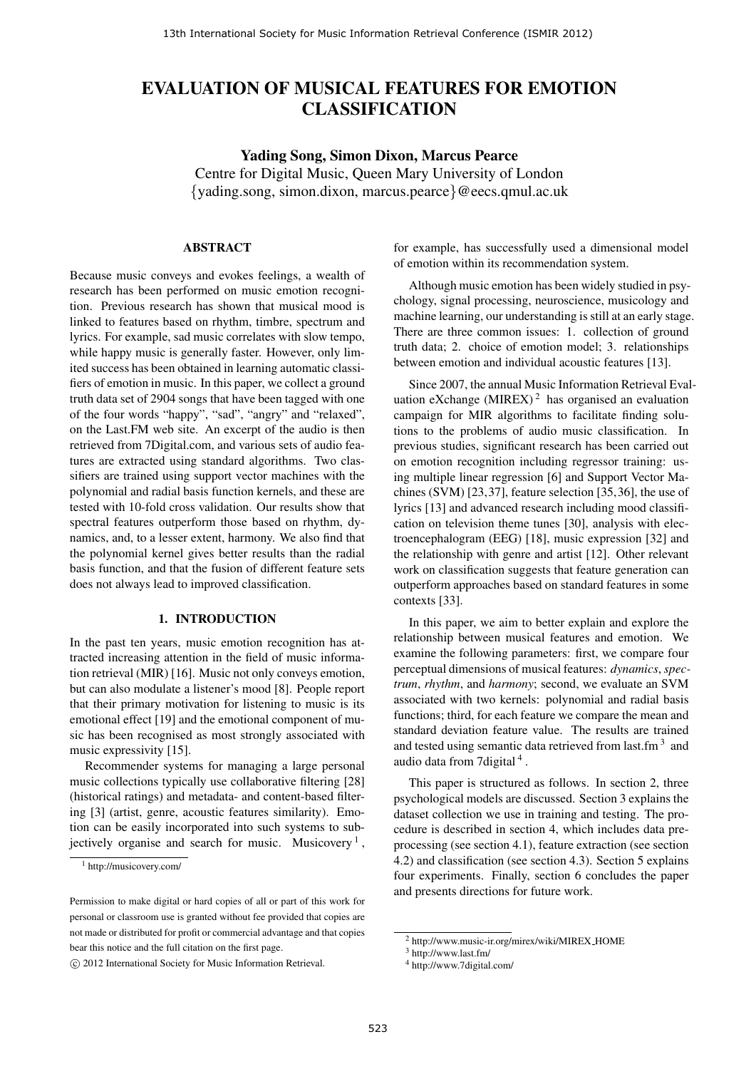# EVALUATION OF MUSICAL FEATURES FOR EMOTION CLASSIFICATION

Yading Song, Simon Dixon, Marcus Pearce Centre for Digital Music, Queen Mary University of London {yading.song, simon.dixon, marcus.pearce}@eecs.qmul.ac.uk

#### ABSTRACT

Because music conveys and evokes feelings, a wealth of research has been performed on music emotion recognition. Previous research has shown that musical mood is linked to features based on rhythm, timbre, spectrum and lyrics. For example, sad music correlates with slow tempo, while happy music is generally faster. However, only limited success has been obtained in learning automatic classifiers of emotion in music. In this paper, we collect a ground truth data set of 2904 songs that have been tagged with one of the four words "happy", "sad", "angry" and "relaxed", on the Last.FM web site. An excerpt of the audio is then retrieved from 7Digital.com, and various sets of audio features are extracted using standard algorithms. Two classifiers are trained using support vector machines with the polynomial and radial basis function kernels, and these are tested with 10-fold cross validation. Our results show that spectral features outperform those based on rhythm, dynamics, and, to a lesser extent, harmony. We also find that the polynomial kernel gives better results than the radial basis function, and that the fusion of different feature sets does not always lead to improved classification.

#### 1. INTRODUCTION

In the past ten years, music emotion recognition has attracted increasing attention in the field of music information retrieval (MIR) [16]. Music not only conveys emotion, but can also modulate a listener's mood [8]. People report that their primary motivation for listening to music is its emotional effect [19] and the emotional component of music has been recognised as most strongly associated with music expressivity [15].

Recommender systems for managing a large personal music collections typically use collaborative filtering [28] (historical ratings) and metadata- and content-based filtering [3] (artist, genre, acoustic features similarity). Emotion can be easily incorporated into such systems to subjectively organise and search for music. Musicovery<sup>1</sup>,

for example, has successfully used a dimensional model of emotion within its recommendation system.

Although music emotion has been widely studied in psychology, signal processing, neuroscience, musicology and machine learning, our understanding is still at an early stage. There are three common issues: 1. collection of ground truth data; 2. choice of emotion model; 3. relationships between emotion and individual acoustic features [13].

Since 2007, the annual Music Information Retrieval Evaluation eXchange (MIREX)<sup>2</sup> has organised an evaluation campaign for MIR algorithms to facilitate finding solutions to the problems of audio music classification. In previous studies, significant research has been carried out on emotion recognition including regressor training: using multiple linear regression [6] and Support Vector Machines (SVM) [23,37], feature selection [35,36], the use of lyrics [13] and advanced research including mood classification on television theme tunes [30], analysis with electroencephalogram (EEG) [18], music expression [32] and the relationship with genre and artist [12]. Other relevant work on classification suggests that feature generation can outperform approaches based on standard features in some contexts [33].

In this paper, we aim to better explain and explore the relationship between musical features and emotion. We examine the following parameters: first, we compare four perceptual dimensions of musical features: *dynamics*, *spectrum*, *rhythm*, and *harmony*; second, we evaluate an SVM associated with two kernels: polynomial and radial basis functions; third, for each feature we compare the mean and standard deviation feature value. The results are trained and tested using semantic data retrieved from last.fm<sup>3</sup> and audio data from 7 digital<sup>4</sup>.

This paper is structured as follows. In section 2, three psychological models are discussed. Section 3 explains the dataset collection we use in training and testing. The procedure is described in section 4, which includes data preprocessing (see section 4.1), feature extraction (see section 4.2) and classification (see section 4.3). Section 5 explains four experiments. Finally, section 6 concludes the paper and presents directions for future work.

<sup>1</sup> http://musicovery.com/

Permission to make digital or hard copies of all or part of this work for personal or classroom use is granted without fee provided that copies are not made or distributed for profit or commercial advantage and that copies bear this notice and the full citation on the first page.

c 2012 International Society for Music Information Retrieval.

 $2$  http://www.music-ir.org/mirex/wiki/MIREX\_HOME

<sup>3</sup> http://www.last.fm/

<sup>4</sup> http://www.7digital.com/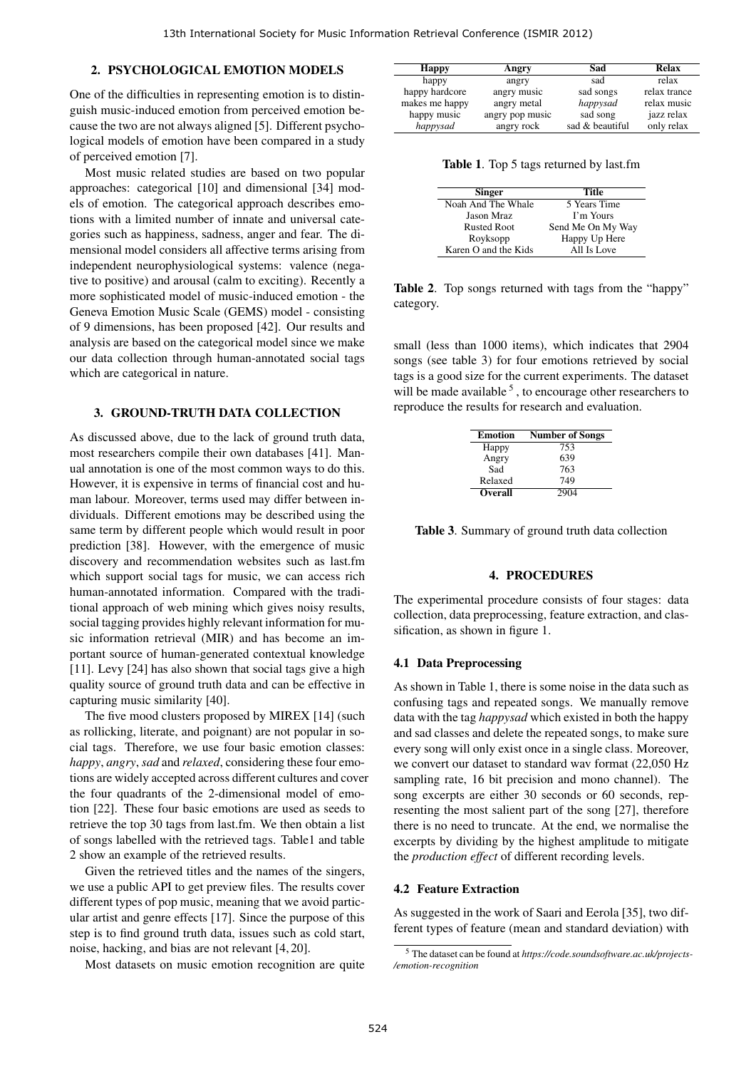#### 2. PSYCHOLOGICAL EMOTION MODELS

One of the difficulties in representing emotion is to distinguish music-induced emotion from perceived emotion because the two are not always aligned [5]. Different psychological models of emotion have been compared in a study of perceived emotion [7].

Most music related studies are based on two popular approaches: categorical [10] and dimensional [34] models of emotion. The categorical approach describes emotions with a limited number of innate and universal categories such as happiness, sadness, anger and fear. The dimensional model considers all affective terms arising from independent neurophysiological systems: valence (negative to positive) and arousal (calm to exciting). Recently a more sophisticated model of music-induced emotion - the Geneva Emotion Music Scale (GEMS) model - consisting of 9 dimensions, has been proposed [42]. Our results and analysis are based on the categorical model since we make our data collection through human-annotated social tags which are categorical in nature.

#### 3. GROUND-TRUTH DATA COLLECTION

As discussed above, due to the lack of ground truth data, most researchers compile their own databases [41]. Manual annotation is one of the most common ways to do this. However, it is expensive in terms of financial cost and human labour. Moreover, terms used may differ between individuals. Different emotions may be described using the same term by different people which would result in poor prediction [38]. However, with the emergence of music discovery and recommendation websites such as last.fm which support social tags for music, we can access rich human-annotated information. Compared with the traditional approach of web mining which gives noisy results, social tagging provides highly relevant information for music information retrieval (MIR) and has become an important source of human-generated contextual knowledge [11]. Levy [24] has also shown that social tags give a high quality source of ground truth data and can be effective in capturing music similarity [40].

The five mood clusters proposed by MIREX [14] (such as rollicking, literate, and poignant) are not popular in social tags. Therefore, we use four basic emotion classes: *happy*, *angry*, *sad* and *relaxed*, considering these four emotions are widely accepted across different cultures and cover the four quadrants of the 2-dimensional model of emotion [22]. These four basic emotions are used as seeds to retrieve the top 30 tags from last.fm. We then obtain a list of songs labelled with the retrieved tags. Table1 and table 2 show an example of the retrieved results.

Given the retrieved titles and the names of the singers, we use a public API to get preview files. The results cover different types of pop music, meaning that we avoid particular artist and genre effects [17]. Since the purpose of this step is to find ground truth data, issues such as cold start, noise, hacking, and bias are not relevant [4, 20].

Most datasets on music emotion recognition are quite

| <b>Happy</b>   | Angry           | Sad             | <b>Relax</b> |
|----------------|-----------------|-----------------|--------------|
| happy          | angry           | sad             | relax        |
| happy hardcore | angry music     | sad songs       | relax trance |
| makes me happy | angry metal     | happysad        | relax music  |
| happy music    | angry pop music | sad song        | jazz relax   |
| happysad       | angry rock      | sad & beautiful | only relax   |

Table 1. Top 5 tags returned by last.fm

| <b>Singer</b>        | Title             |
|----------------------|-------------------|
| Noah And The Whale   | 5 Years Time      |
| Jason Mraz           | I'm Yours         |
| <b>Rusted Root</b>   | Send Me On My Way |
| Royksopp             | Happy Up Here     |
| Karen O and the Kids | All Is Love       |

Table 2. Top songs returned with tags from the "happy" category.

small (less than 1000 items), which indicates that 2904 songs (see table 3) for four emotions retrieved by social tags is a good size for the current experiments. The dataset will be made available  $<sup>5</sup>$ , to encourage other researchers to</sup> reproduce the results for research and evaluation.

| <b>Number of Songs</b> |
|------------------------|
| 753                    |
| 639                    |
| 763                    |
| 749                    |
| 2904                   |
|                        |

Table 3. Summary of ground truth data collection

### 4. PROCEDURES

The experimental procedure consists of four stages: data collection, data preprocessing, feature extraction, and classification, as shown in figure 1.

#### 4.1 Data Preprocessing

As shown in Table 1, there is some noise in the data such as confusing tags and repeated songs. We manually remove data with the tag *happysad* which existed in both the happy and sad classes and delete the repeated songs, to make sure every song will only exist once in a single class. Moreover, we convert our dataset to standard wav format (22,050 Hz sampling rate, 16 bit precision and mono channel). The song excerpts are either 30 seconds or 60 seconds, representing the most salient part of the song [27], therefore there is no need to truncate. At the end, we normalise the excerpts by dividing by the highest amplitude to mitigate the *production effect* of different recording levels.

#### 4.2 Feature Extraction

As suggested in the work of Saari and Eerola [35], two different types of feature (mean and standard deviation) with

<sup>5</sup> The dataset can be found at *https://code.soundsoftware.ac.uk/projects- /emotion-recognition*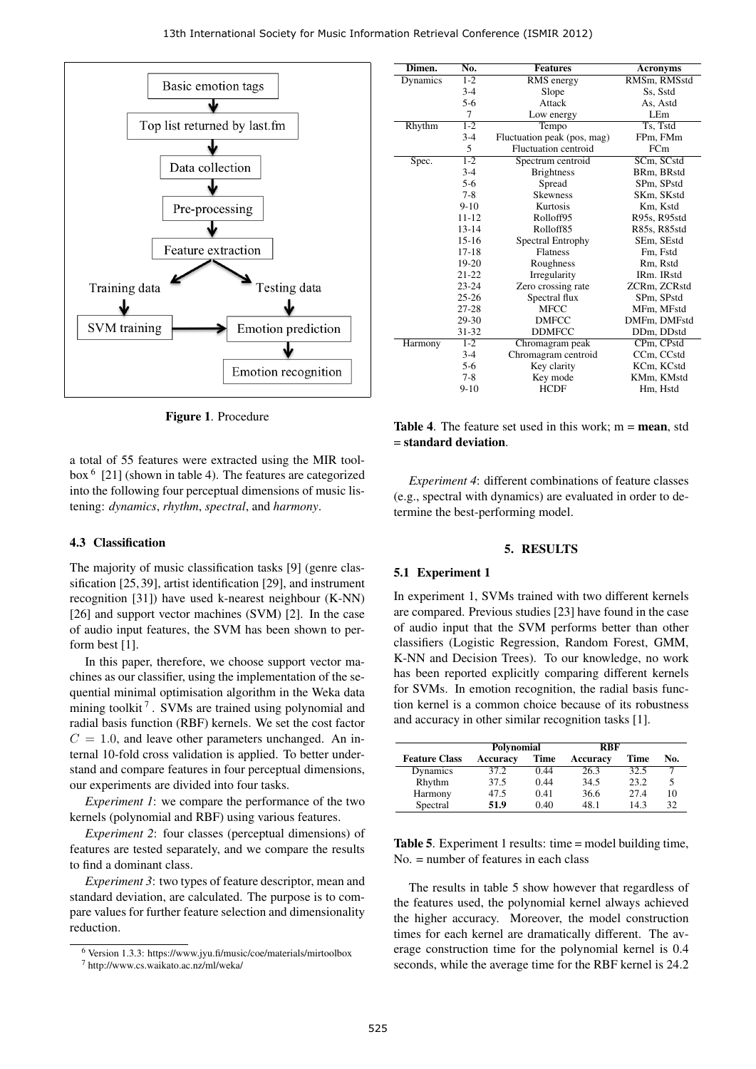

Figure 1. Procedure

a total of 55 features were extracted using the MIR toolbox <sup>6</sup> [21] (shown in table 4). The features are categorized into the following four perceptual dimensions of music listening: *dynamics*, *rhythm*, *spectral*, and *harmony*.

# 4.3 Classification

The majority of music classification tasks [9] (genre classification [25, 39], artist identification [29], and instrument recognition [31]) have used k-nearest neighbour (K-NN) [26] and support vector machines (SVM) [2]. In the case of audio input features, the SVM has been shown to perform best [1].

In this paper, therefore, we choose support vector machines as our classifier, using the implementation of the sequential minimal optimisation algorithm in the Weka data mining toolkit<sup>7</sup>. SVMs are trained using polynomial and radial basis function (RBF) kernels. We set the cost factor  $C = 1.0$ , and leave other parameters unchanged. An internal 10-fold cross validation is applied. To better understand and compare features in four perceptual dimensions, our experiments are divided into four tasks.

*Experiment 1*: we compare the performance of the two kernels (polynomial and RBF) using various features.

*Experiment 2*: four classes (perceptual dimensions) of features are tested separately, and we compare the results to find a dominant class.

*Experiment 3*: two types of feature descriptor, mean and standard deviation, are calculated. The purpose is to compare values for further feature selection and dimensionality reduction.

| Dimen.   | No.       | <b>Features</b>             | <b>Acronyms</b> |
|----------|-----------|-----------------------------|-----------------|
| Dynamics | $1 - 2$   | RMS energy                  | RMSm, RMSstd    |
|          | $3 - 4$   | Slope                       | Ss. Sstd        |
|          | $5-6$     | Attack                      | As, Astd        |
|          | 7         | Low energy                  | LE <sub>m</sub> |
| Rhythm   | $1 - 2$   | Tempo                       | Ts. Tstd        |
|          | $3-4$     | Fluctuation peak (pos, mag) | FPm, FMm        |
|          | 5         | <b>Fluctuation centroid</b> | FCm             |
| Spec.    | $1 - 2$   | Spectrum centroid           | SCm, SCstd      |
|          | $3 - 4$   | <b>Brightness</b>           | BRm, BRstd      |
|          | $5-6$     | Spread                      | SPm. SPstd      |
|          | $7 - 8$   | <b>Skewness</b>             | SKm, SKstd      |
|          | $9-10$    | Kurtosis                    | Km, Kstd        |
|          | $11 - 12$ | Rolloff95                   | R95s, R95std    |
|          | $13 - 14$ | Rolloff85                   | R85s, R85std    |
|          | $15-16$   | Spectral Entrophy           | SEm, SEstd      |
|          | $17 - 18$ | <b>Flatness</b>             | Fm, Fstd        |
|          | 19-20     | Roughness                   | Rm, Rstd        |
|          | $21 - 22$ | Irregularity                | IRm. IRstd      |
|          | $23 - 24$ | Zero crossing rate          | ZCRm, ZCRstd    |
|          | $25 - 26$ | Spectral flux               | SPm, SPstd      |
|          | $27 - 28$ | <b>MFCC</b>                 | MFm, MFstd      |
|          | 29-30     | <b>DMFCC</b>                | DMFm, DMFstd    |
|          | 31-32     | <b>DDMFCC</b>               | DDm, DDstd      |
| Harmony  | $1 - 2$   | Chromagram peak             | CPm, CPstd      |
|          | $3-4$     | Chromagram centroid         | CCm, CCstd      |
|          | $5-6$     | Key clarity                 | KCm, KCstd      |
|          | $7 - 8$   | Key mode                    | KMm, KMstd      |
|          | $9 - 10$  | <b>HCDF</b>                 | Hm, Hstd        |

**Table 4.** The feature set used in this work;  $m = \text{mean}$ , std = standard deviation.

*Experiment 4*: different combinations of feature classes (e.g., spectral with dynamics) are evaluated in order to determine the best-performing model.

#### 5. RESULTS

#### 5.1 Experiment 1

In experiment 1, SVMs trained with two different kernels are compared. Previous studies [23] have found in the case of audio input that the SVM performs better than other classifiers (Logistic Regression, Random Forest, GMM, K-NN and Decision Trees). To our knowledge, no work has been reported explicitly comparing different kernels for SVMs. In emotion recognition, the radial basis function kernel is a common choice because of its robustness and accuracy in other similar recognition tasks [1].

|                      | Polynomial |             | <b>RBF</b> |      |     |
|----------------------|------------|-------------|------------|------|-----|
| <b>Feature Class</b> | Accuracy   | <b>Time</b> | Accuracy   | Time | No. |
| Dynamics             | 37.2       | 0.44        | 26.3       | 32.5 |     |
| Rhythm               | 37.5       | 0.44        | 34.5       | 23.2 |     |
| Harmony              | 47.5       | 0.41        | 36.6       | 27.4 | 10  |
| Spectral             | 51.9       | 0.40        | 48.1       | 14.3 | 32  |

Table 5. Experiment 1 results: time = model building time, No. = number of features in each class

The results in table 5 show however that regardless of the features used, the polynomial kernel always achieved the higher accuracy. Moreover, the model construction times for each kernel are dramatically different. The average construction time for the polynomial kernel is 0.4 seconds, while the average time for the RBF kernel is 24.2

<sup>6</sup> Version 1.3.3: https://www.jyu.fi/music/coe/materials/mirtoolbox

<sup>7</sup> http://www.cs.waikato.ac.nz/ml/weka/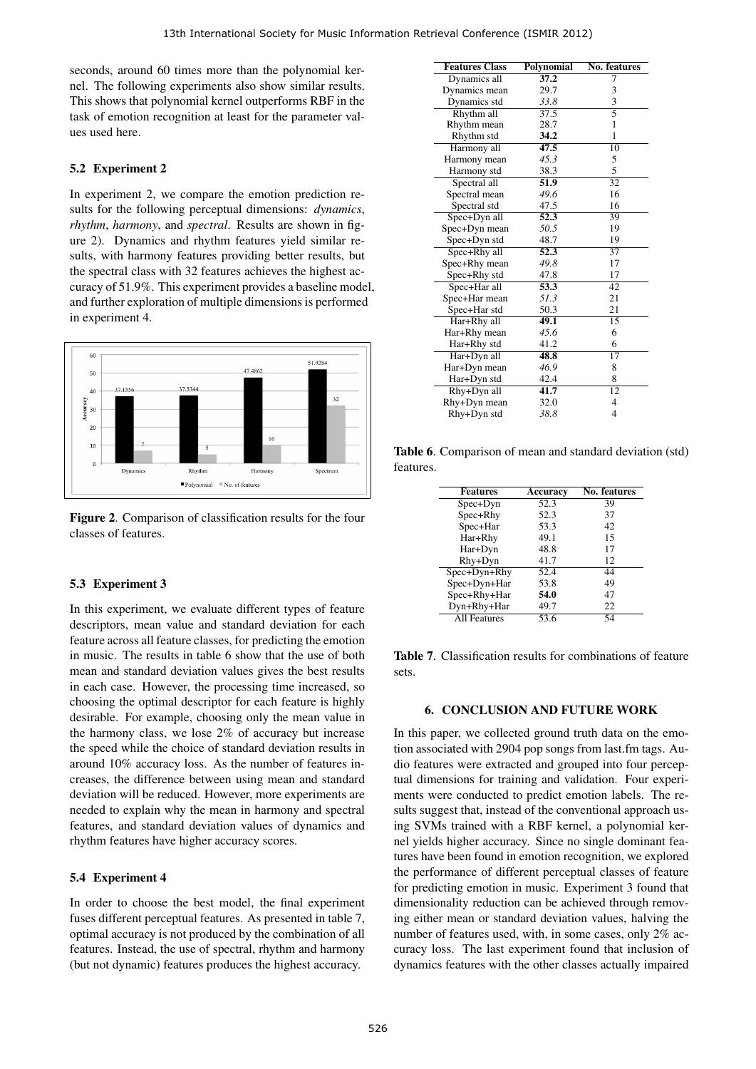seconds, around 60 times more than the polynomial kernel. The following experiments also show similar results. This shows that polynomial kernel outperforms RBF in the task of emotion recognition at least for the parameter values used here.

# 5.2 Experiment 2

In experiment 2, we compare the emotion prediction results for the following perceptual dimensions: *dynamics*, *rhythm*, *harmony*, and *spectral*. Results are shown in figure 2). Dynamics and rhythm features yield similar results, with harmony features providing better results, but the spectral class with 32 features achieves the highest accuracy of 51.9%. This experiment provides a baseline model, and further exploration of multiple dimensions is performed in experiment 4.



Figure 2. Comparison of classification results for the four classes of features.

# 5.3 Experiment 3

In this experiment, we evaluate different types of feature descriptors, mean value and standard deviation for each feature across all feature classes, for predicting the emotion in music. The results in table 6 show that the use of both mean and standard deviation values gives the best results in each case. However, the processing time increased, so choosing the optimal descriptor for each feature is highly desirable. For example, choosing only the mean value in the harmony class, we lose 2% of accuracy but increase the speed while the choice of standard deviation results in around 10% accuracy loss. As the number of features increases, the difference between using mean and standard deviation will be reduced. However, more experiments are needed to explain why the mean in harmony and spectral features, and standard deviation values of dynamics and rhythm features have higher accuracy scores.

# 5.4 Experiment 4

In order to choose the best model, the final experiment fuses different perceptual features. As presented in table 7, optimal accuracy is not produced by the combination of all features. Instead, the use of spectral, rhythm and harmony (but not dynamic) features produces the highest accuracy.

| <b>Features Class</b> | Polynomial        | <b>No. features</b> |
|-----------------------|-------------------|---------------------|
| Dynamics all          | 37.2              | 7                   |
| Dynamics mean         | 29.7              | 3                   |
| Dynamics std          | 33.8              | 3                   |
| Rhythm all            | $\overline{37.5}$ | $\overline{5}$      |
| Rhythm mean           | 28.7              | 1                   |
| Rhythm std            | 34.2              | 1                   |
| Harmony all           | 47.5              | $\overline{10}$     |
| Harmony mean          | 45.3              | 5                   |
| Harmony std           | 38.3              | 5                   |
| Spectral all          | $\overline{51.9}$ | $\overline{32}$     |
| Spectral mean         | 49.6              | 16                  |
| Spectral std          | 47.5              | 16                  |
| Spec+Dyn all          | 52.3              | 39                  |
| Spec+Dyn mean         | 50.5              | 19                  |
| Spec+Dyn std          | 48.7              | 19                  |
| Spec+Rhy all          | 52.3              | $\overline{37}$     |
| Spec+Rhy mean         | 49.8              | 17                  |
| Spec+Rhy std          | 47.8              | 17                  |
| Spec+Har all          | 53.3              | 42                  |
| Spec+Har mean         | 51.3              | 21                  |
| Spec+Har std          | 50.3              | 21                  |
| Har+Rhy all           | 49.1              | 15                  |
| Har+Rhy mean          | 45.6              | 6                   |
| Har+Rhy std           | 41.2              | 6                   |
| Har+Dyn all           | 48.8              | 17                  |
| Har+Dyn mean          | 46.9              | 8                   |
| Har+Dyn std           | 42.4              | 8                   |
| Rhy+Dyn all           | 41.7              | $\overline{12}$     |
| Rhy+Dyn mean          | 32.0              | 4                   |
| Rhy+Dyn std           | 38.8              | $\overline{4}$      |

Table 6. Comparison of mean and standard deviation (std) features.

| <b>Features</b>     | Accuracv | No. features |
|---------------------|----------|--------------|
| Spec+Dyn            | 52.3     | 39           |
| Spec+Rhy            | 52.3     | 37           |
| Spec+Har            | 53.3     | 42           |
| Har+Rhy             | 49.1     | 15           |
| Har+Dyn             | 48.8     | 17           |
| Rhy+Dyn             | 41.7     | 12           |
| Spec+Dyn+Rhy        | 52.4     | 44           |
| Spec+Dyn+Har        | 53.8     | 49           |
| Spec+Rhy+Har        | 54.0     | 47           |
| Dyn+Rhy+Har         | 49.7     | 22           |
| <b>All Features</b> | 53.6     | 54           |
|                     |          |              |

Table 7. Classification results for combinations of feature sets.

#### 6. CONCLUSION AND FUTURE WORK

In this paper, we collected ground truth data on the emotion associated with 2904 pop songs from last.fm tags. Audio features were extracted and grouped into four perceptual dimensions for training and validation. Four experiments were conducted to predict emotion labels. The results suggest that, instead of the conventional approach using SVMs trained with a RBF kernel, a polynomial kernel yields higher accuracy. Since no single dominant features have been found in emotion recognition, we explored the performance of different perceptual classes of feature for predicting emotion in music. Experiment 3 found that dimensionality reduction can be achieved through removing either mean or standard deviation values, halving the number of features used, with, in some cases, only 2% accuracy loss. The last experiment found that inclusion of dynamics features with the other classes actually impaired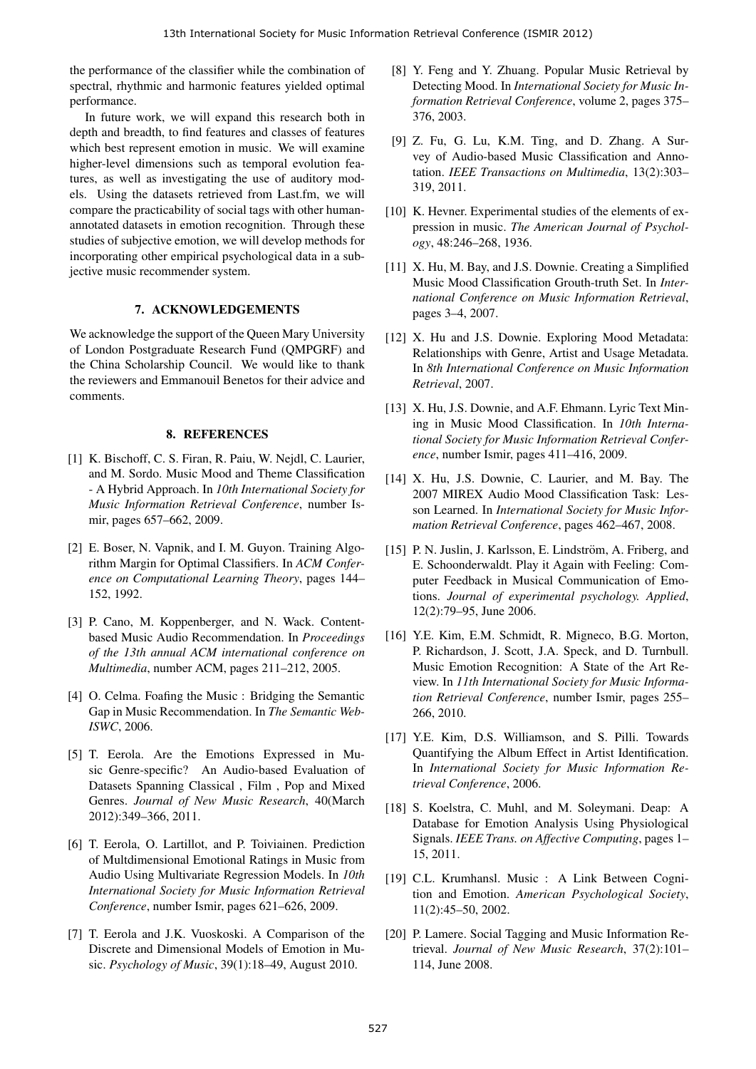the performance of the classifier while the combination of spectral, rhythmic and harmonic features yielded optimal performance.

In future work, we will expand this research both in depth and breadth, to find features and classes of features which best represent emotion in music. We will examine higher-level dimensions such as temporal evolution features, as well as investigating the use of auditory models. Using the datasets retrieved from Last.fm, we will compare the practicability of social tags with other humanannotated datasets in emotion recognition. Through these studies of subjective emotion, we will develop methods for incorporating other empirical psychological data in a subjective music recommender system.

# 7. ACKNOWLEDGEMENTS

We acknowledge the support of the Queen Mary University of London Postgraduate Research Fund (QMPGRF) and the China Scholarship Council. We would like to thank the reviewers and Emmanouil Benetos for their advice and comments.

# 8. REFERENCES

- [1] K. Bischoff, C. S. Firan, R. Paiu, W. Nejdl, C. Laurier, and M. Sordo. Music Mood and Theme Classification - A Hybrid Approach. In *10th International Society for Music Information Retrieval Conference*, number Ismir, pages 657–662, 2009.
- [2] E. Boser, N. Vapnik, and I. M. Guyon. Training Algorithm Margin for Optimal Classifiers. In *ACM Conference on Computational Learning Theory*, pages 144– 152, 1992.
- [3] P. Cano, M. Koppenberger, and N. Wack. Contentbased Music Audio Recommendation. In *Proceedings of the 13th annual ACM international conference on Multimedia*, number ACM, pages 211–212, 2005.
- [4] O. Celma. Foafing the Music : Bridging the Semantic Gap in Music Recommendation. In *The Semantic Web-ISWC*, 2006.
- [5] T. Eerola. Are the Emotions Expressed in Music Genre-specific? An Audio-based Evaluation of Datasets Spanning Classical , Film , Pop and Mixed Genres. *Journal of New Music Research*, 40(March 2012):349–366, 2011.
- [6] T. Eerola, O. Lartillot, and P. Toiviainen. Prediction of Multdimensional Emotional Ratings in Music from Audio Using Multivariate Regression Models. In *10th International Society for Music Information Retrieval Conference*, number Ismir, pages 621–626, 2009.
- [7] T. Eerola and J.K. Vuoskoski. A Comparison of the Discrete and Dimensional Models of Emotion in Music. *Psychology of Music*, 39(1):18–49, August 2010.
- [8] Y. Feng and Y. Zhuang. Popular Music Retrieval by Detecting Mood. In *International Society for Music Information Retrieval Conference*, volume 2, pages 375– 376, 2003.
- [9] Z. Fu, G. Lu, K.M. Ting, and D. Zhang. A Survey of Audio-based Music Classification and Annotation. *IEEE Transactions on Multimedia*, 13(2):303– 319, 2011.
- [10] K. Hevner. Experimental studies of the elements of expression in music. *The American Journal of Psychology*, 48:246–268, 1936.
- [11] X. Hu, M. Bay, and J.S. Downie. Creating a Simplified Music Mood Classification Grouth-truth Set. In *International Conference on Music Information Retrieval*, pages 3–4, 2007.
- [12] X. Hu and J.S. Downie. Exploring Mood Metadata: Relationships with Genre, Artist and Usage Metadata. In *8th International Conference on Music Information Retrieval*, 2007.
- [13] X. Hu, J.S. Downie, and A.F. Ehmann. Lyric Text Mining in Music Mood Classification. In *10th International Society for Music Information Retrieval Conference*, number Ismir, pages 411–416, 2009.
- [14] X. Hu, J.S. Downie, C. Laurier, and M. Bay. The 2007 MIREX Audio Mood Classification Task: Lesson Learned. In *International Society for Music Information Retrieval Conference*, pages 462–467, 2008.
- [15] P. N. Juslin, J. Karlsson, E. Lindström, A. Friberg, and E. Schoonderwaldt. Play it Again with Feeling: Computer Feedback in Musical Communication of Emotions. *Journal of experimental psychology. Applied*, 12(2):79–95, June 2006.
- [16] Y.E. Kim, E.M. Schmidt, R. Migneco, B.G. Morton, P. Richardson, J. Scott, J.A. Speck, and D. Turnbull. Music Emotion Recognition: A State of the Art Review. In *11th International Society for Music Information Retrieval Conference*, number Ismir, pages 255– 266, 2010.
- [17] Y.E. Kim, D.S. Williamson, and S. Pilli. Towards Quantifying the Album Effect in Artist Identification. In *International Society for Music Information Retrieval Conference*, 2006.
- [18] S. Koelstra, C. Muhl, and M. Soleymani. Deap: A Database for Emotion Analysis Using Physiological Signals. *IEEE Trans. on Affective Computing*, pages 1– 15, 2011.
- [19] C.L. Krumhansl. Music : A Link Between Cognition and Emotion. *American Psychological Society*, 11(2):45–50, 2002.
- [20] P. Lamere. Social Tagging and Music Information Retrieval. *Journal of New Music Research*, 37(2):101– 114, June 2008.